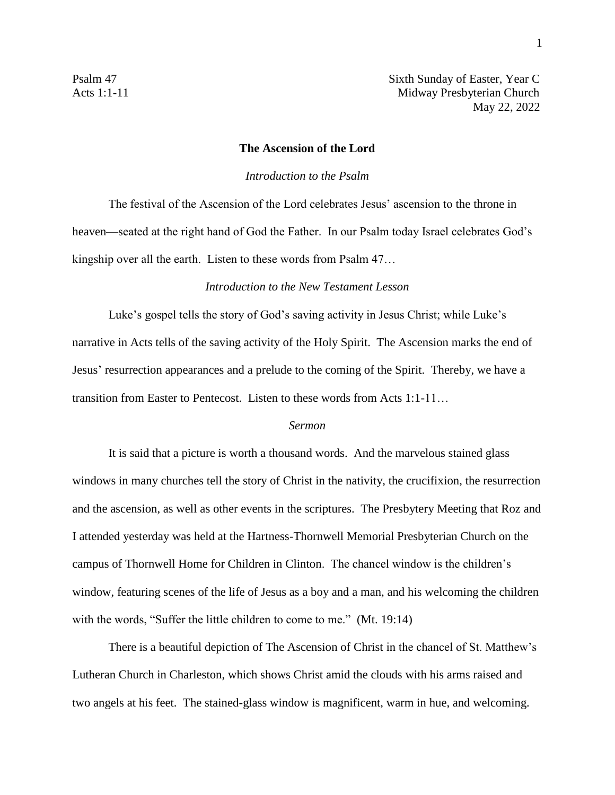Psalm 47 Sixth Sunday of Easter, Year C Acts 1:1-11 Midway Presbyterian Church May 22, 2022

## **The Ascension of the Lord**

## *Introduction to the Psalm*

The festival of the Ascension of the Lord celebrates Jesus' ascension to the throne in heaven—seated at the right hand of God the Father. In our Psalm today Israel celebrates God's kingship over all the earth. Listen to these words from Psalm 47…

## *Introduction to the New Testament Lesson*

Luke's gospel tells the story of God's saving activity in Jesus Christ; while Luke's narrative in Acts tells of the saving activity of the Holy Spirit. The Ascension marks the end of Jesus' resurrection appearances and a prelude to the coming of the Spirit. Thereby, we have a transition from Easter to Pentecost. Listen to these words from Acts 1:1-11…

## *Sermon*

It is said that a picture is worth a thousand words. And the marvelous stained glass windows in many churches tell the story of Christ in the nativity, the crucifixion, the resurrection and the ascension, as well as other events in the scriptures. The Presbytery Meeting that Roz and I attended yesterday was held at the Hartness-Thornwell Memorial Presbyterian Church on the campus of Thornwell Home for Children in Clinton. The chancel window is the children's window, featuring scenes of the life of Jesus as a boy and a man, and his welcoming the children with the words, "Suffer the little children to come to me." (Mt. 19:14)

There is a beautiful depiction of The Ascension of Christ in the chancel of St. Matthew's Lutheran Church in Charleston, which shows Christ amid the clouds with his arms raised and two angels at his feet. The stained-glass window is magnificent, warm in hue, and welcoming.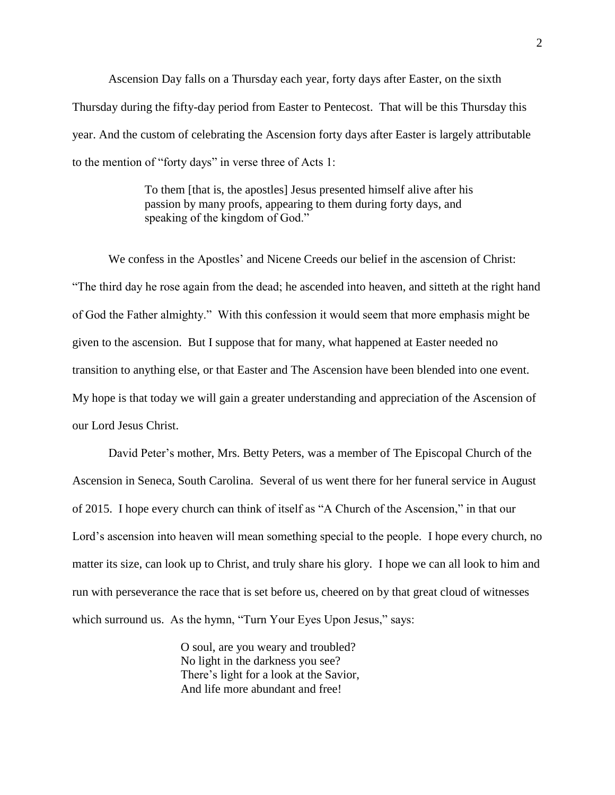Ascension Day falls on a Thursday each year, forty days after Easter, on the sixth Thursday during the fifty-day period from Easter to Pentecost. That will be this Thursday this year. And the custom of celebrating the Ascension forty days after Easter is largely attributable to the mention of "forty days" in verse three of Acts 1:

> To them [that is, the apostles] Jesus presented himself alive after his passion by many proofs, appearing to them during forty days, and speaking of the kingdom of God."

We confess in the Apostles' and Nicene Creeds our belief in the ascension of Christ: "The third day he rose again from the dead; he ascended into heaven, and sitteth at the right hand of God the Father almighty." With this confession it would seem that more emphasis might be given to the ascension. But I suppose that for many, what happened at Easter needed no transition to anything else, or that Easter and The Ascension have been blended into one event. My hope is that today we will gain a greater understanding and appreciation of the Ascension of our Lord Jesus Christ.

David Peter's mother, Mrs. Betty Peters, was a member of The Episcopal Church of the Ascension in Seneca, South Carolina. Several of us went there for her funeral service in August of 2015. I hope every church can think of itself as "A Church of the Ascension," in that our Lord's ascension into heaven will mean something special to the people. I hope every church, no matter its size, can look up to Christ, and truly share his glory. I hope we can all look to him and run with perseverance the race that is set before us, cheered on by that great cloud of witnesses which surround us. As the hymn, "Turn Your Eyes Upon Jesus," says:

> O soul, are you weary and troubled? No light in the darkness you see? There's light for a look at the Savior, And life more abundant and free!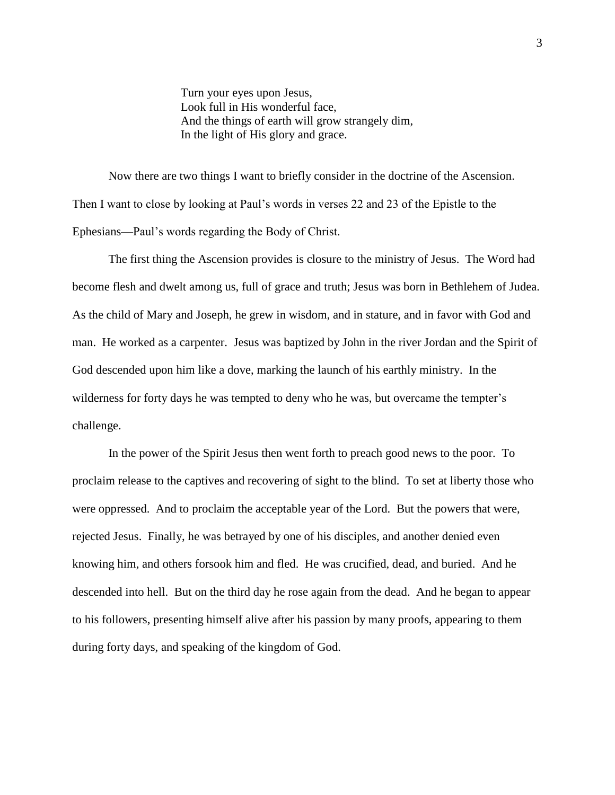Turn your eyes upon Jesus, Look full in His wonderful face, And the things of earth will grow strangely dim, In the light of His glory and grace.

Now there are two things I want to briefly consider in the doctrine of the Ascension. Then I want to close by looking at Paul's words in verses 22 and 23 of the Epistle to the Ephesians—Paul's words regarding the Body of Christ.

The first thing the Ascension provides is closure to the ministry of Jesus. The Word had become flesh and dwelt among us, full of grace and truth; Jesus was born in Bethlehem of Judea. As the child of Mary and Joseph, he grew in wisdom, and in stature, and in favor with God and man. He worked as a carpenter. Jesus was baptized by John in the river Jordan and the Spirit of God descended upon him like a dove, marking the launch of his earthly ministry. In the wilderness for forty days he was tempted to deny who he was, but overcame the tempter's challenge.

In the power of the Spirit Jesus then went forth to preach good news to the poor. To proclaim release to the captives and recovering of sight to the blind. To set at liberty those who were oppressed. And to proclaim the acceptable year of the Lord. But the powers that were, rejected Jesus. Finally, he was betrayed by one of his disciples, and another denied even knowing him, and others forsook him and fled. He was crucified, dead, and buried. And he descended into hell. But on the third day he rose again from the dead. And he began to appear to his followers, presenting himself alive after his passion by many proofs, appearing to them during forty days, and speaking of the kingdom of God.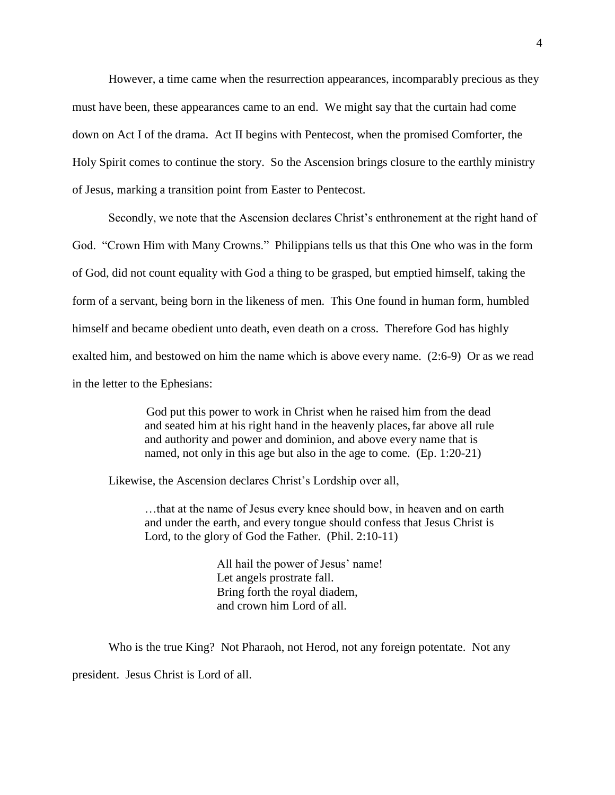However, a time came when the resurrection appearances, incomparably precious as they must have been, these appearances came to an end. We might say that the curtain had come down on Act I of the drama. Act II begins with Pentecost, when the promised Comforter, the Holy Spirit comes to continue the story. So the Ascension brings closure to the earthly ministry of Jesus, marking a transition point from Easter to Pentecost.

Secondly, we note that the Ascension declares Christ's enthronement at the right hand of God. "Crown Him with Many Crowns." Philippians tells us that this One who was in the form of God, did not count equality with God a thing to be grasped, but emptied himself, taking the form of a servant, being born in the likeness of men. This One found in human form, humbled himself and became obedient unto death, even death on a cross. Therefore God has highly exalted him, and bestowed on him the name which is above every name. (2:6-9) Or as we read in the letter to the Ephesians:

> God put this power to work in Christ when he raised him from the dead and seated him at his right hand in the heavenly places, far above all rule and authority and power and dominion, and above every name that is named, not only in this age but also in the age to come. (Ep. 1:20-21)

Likewise, the Ascension declares Christ's Lordship over all,

…that at the name of Jesus every knee should bow, in heaven and on earth and under the earth, and every tongue should confess that Jesus Christ is Lord, to the glory of God the Father. (Phil. 2:10-11)

> All hail the power of Jesus' name! Let angels prostrate fall. Bring forth the royal diadem, and crown him Lord of all.

Who is the true King? Not Pharaoh, not Herod, not any foreign potentate. Not any president. Jesus Christ is Lord of all.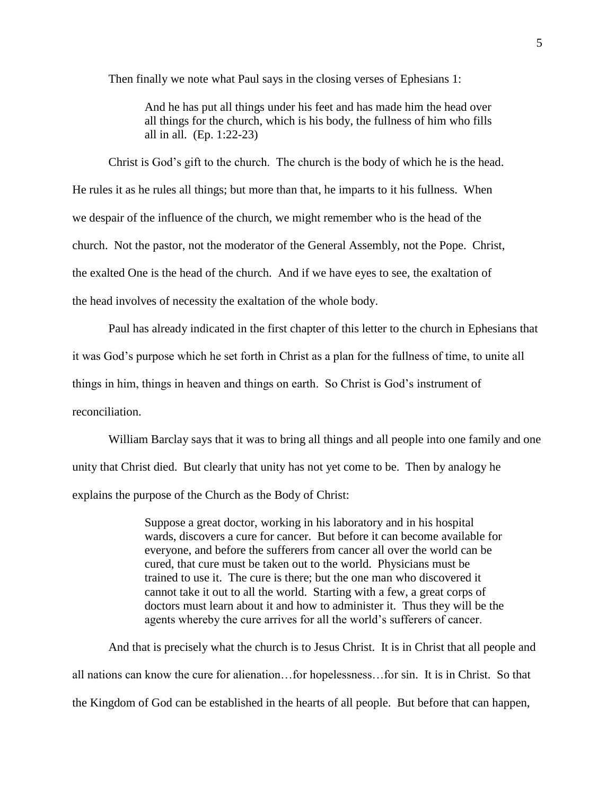Then finally we note what Paul says in the closing verses of Ephesians 1:

And he has put all things under his feet and has made him the head over all things for the church, which is his body, the fullness of him who fills all in all. (Ep. 1:22-23)

Christ is God's gift to the church. The church is the body of which he is the head. He rules it as he rules all things; but more than that, he imparts to it his fullness. When we despair of the influence of the church, we might remember who is the head of the church. Not the pastor, not the moderator of the General Assembly, not the Pope. Christ, the exalted One is the head of the church. And if we have eyes to see, the exaltation of the head involves of necessity the exaltation of the whole body.

Paul has already indicated in the first chapter of this letter to the church in Ephesians that it was God's purpose which he set forth in Christ as a plan for the fullness of time, to unite all things in him, things in heaven and things on earth. So Christ is God's instrument of reconciliation.

William Barclay says that it was to bring all things and all people into one family and one unity that Christ died. But clearly that unity has not yet come to be. Then by analogy he explains the purpose of the Church as the Body of Christ:

> Suppose a great doctor, working in his laboratory and in his hospital wards, discovers a cure for cancer. But before it can become available for everyone, and before the sufferers from cancer all over the world can be cured, that cure must be taken out to the world. Physicians must be trained to use it. The cure is there; but the one man who discovered it cannot take it out to all the world. Starting with a few, a great corps of doctors must learn about it and how to administer it. Thus they will be the agents whereby the cure arrives for all the world's sufferers of cancer.

And that is precisely what the church is to Jesus Christ. It is in Christ that all people and all nations can know the cure for alienation…for hopelessness…for sin. It is in Christ. So that the Kingdom of God can be established in the hearts of all people. But before that can happen,